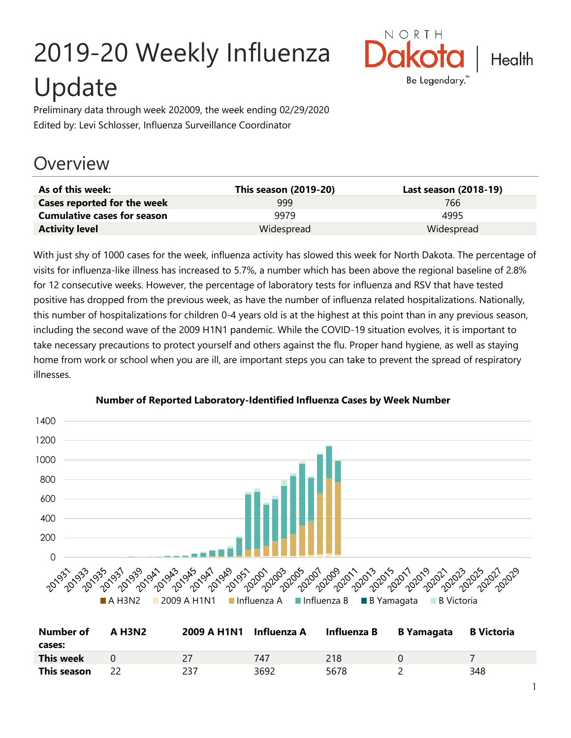# 2019-20 Weekly Influenza Update



Preliminary data through week 202009, the week ending 02/29/2020 Edited by: Levi Schlosser, Influenza Surveillance Coordinator

## **Overview**

| As of this week:                   | This season (2019-20) | Last season (2018-19) |
|------------------------------------|-----------------------|-----------------------|
| Cases reported for the week        | 999                   | 766                   |
| <b>Cumulative cases for season</b> | 9979                  | 4995                  |
| <b>Activity level</b>              | Widespread            | Widespread            |

With just shy of 1000 cases for the week, influenza activity has slowed this week for North Dakota. The percentage of visits for influenza-like illness has increased to 5.7%, a number which has been above the regional baseline of 2.8% for 12 consecutive weeks. However, the percentage of laboratory tests for influenza and RSV that have tested positive has dropped from the previous week, as have the number of influenza related hospitalizations. Nationally, this number of hospitalizations for children 0-4 years old is at the highest at this point than in any previous season, including the second wave of the 2009 H1N1 pandemic. While the COVID-19 situation evolves, it is important to take necessary precautions to protect yourself and others against the flu. Proper hand hygiene, as well as staying home from work or school when you are ill, are important steps you can take to prevent the spread of respiratory illnesses.



#### **Number of Reported Laboratory-Identified Influenza Cases by Week Number**

| Number of        | <b>A H3N2</b> | 2009 A H1N1 | Influenza A | Influenza B | B Yamagata | <b>B</b> Victoria |
|------------------|---------------|-------------|-------------|-------------|------------|-------------------|
| cases:           |               |             |             |             |            |                   |
| <b>This week</b> |               |             | 747         | 218         |            |                   |
| This season      |               | 237         | 3692        | 5678        |            | 348               |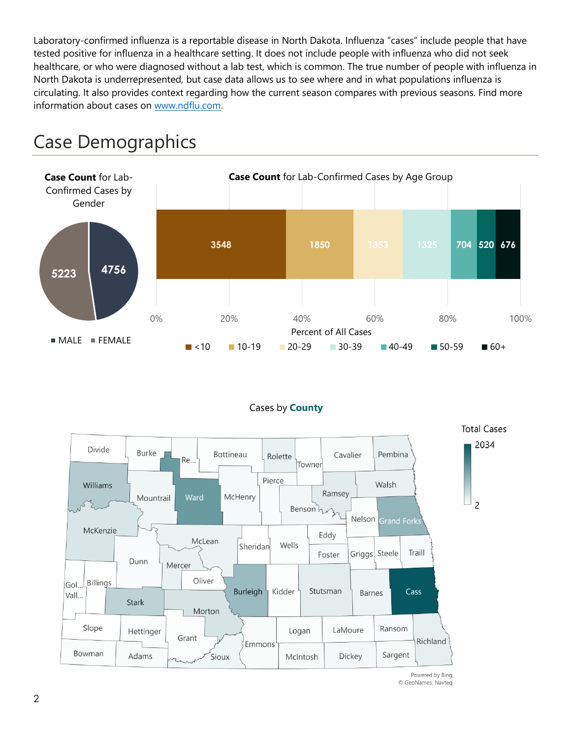Laboratory-confirmed influenza is a reportable disease in North Dakota. Influenza "cases" include people that have tested positive for influenza in a healthcare setting. It does not include people with influenza who did not seek healthcare, or who were diagnosed without a lab test, which is common. The true number of people with influenza in North Dakota is underrepresented, but case data allows us to see where and in what populations influenza is circulating. It also provides context regarding how the current season compares with previous seasons. Find more information about cases on [www.ndflu.com.](file://///nd.gov/doh/DOH-DATA/MSS/DC/PROGRAM/IMMUNE/Immunize/Influenza/Inf18-19/Surveillance/Weekly%20Summaries/www.ndflu.com)







© GeoNames, Navteq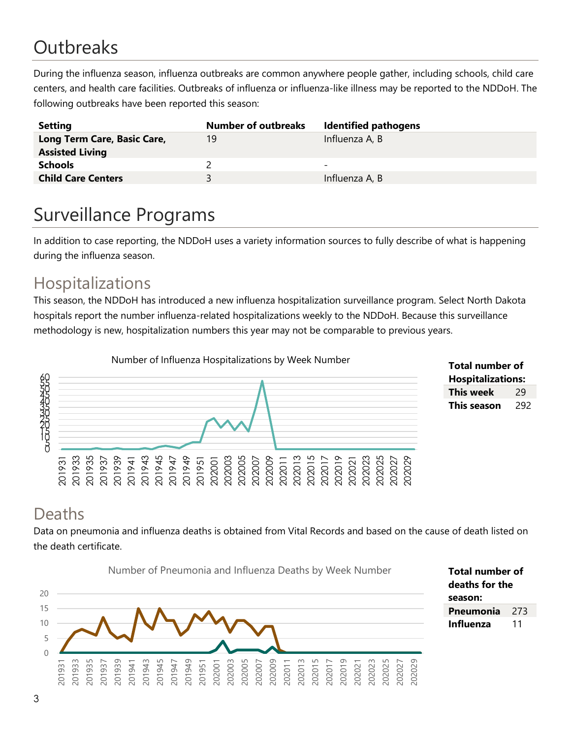# **Outbreaks**

During the influenza season, influenza outbreaks are common anywhere people gather, including schools, child care centers, and health care facilities. Outbreaks of influenza or influenza-like illness may be reported to the NDDoH. The following outbreaks have been reported this season:

| <b>Setting</b>                                        | <b>Number of outbreaks</b> | <b>Identified pathogens</b> |
|-------------------------------------------------------|----------------------------|-----------------------------|
| Long Term Care, Basic Care,<br><b>Assisted Living</b> | 19                         | Influenza A, B              |
| <b>Schools</b>                                        |                            | $\overline{\phantom{0}}$    |
| <b>Child Care Centers</b>                             | ર                          | Influenza A, B              |

# Surveillance Programs

In addition to case reporting, the NDDoH uses a variety information sources to fully describe of what is happening during the influenza season.

#### Hospitalizations

This season, the NDDoH has introduced a new influenza hospitalization surveillance program. Select North Dakota hospitals report the number influenza-related hospitalizations weekly to the NDDoH. Because this surveillance methodology is new, hospitalization numbers this year may not be comparable to previous years.



**Total number of Hospitalizations: This week** 29 **This season** 292

#### Deaths

Data on pneumonia and influenza deaths is obtained from Vital Records and based on the cause of death listed on the death certificate.

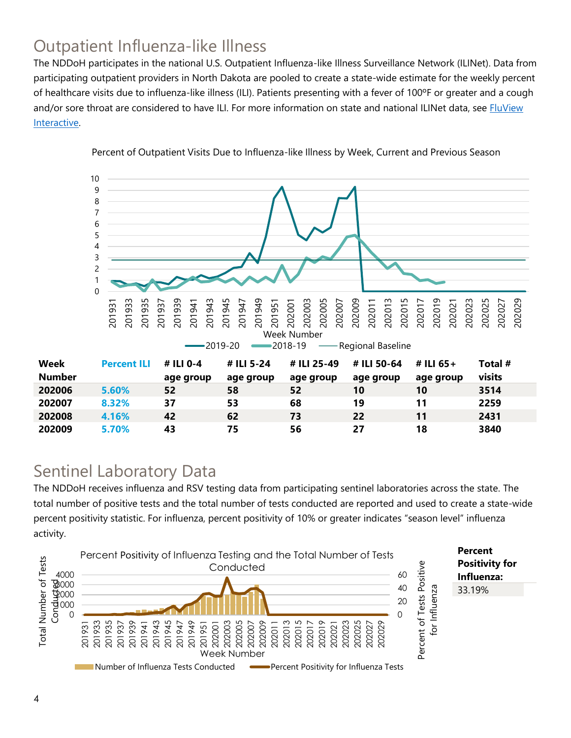### Outpatient Influenza-like Illness

The NDDoH participates in the national U.S. Outpatient Influenza-like Illness Surveillance Network (ILINet). Data from participating outpatient providers in North Dakota are pooled to create a state-wide estimate for the weekly percent of healthcare visits due to influenza-like illness (ILI). Patients presenting with a fever of 100ºF or greater and a cough and/or sore throat are considered to have ILI. For more information on state and national ILINet data, see **FluView** [Interactive.](https://gis.cdc.gov/grasp/fluview/fluportaldashboard.html)



Percent of Outpatient Visits Due to Influenza-like Illness by Week, Current and Previous Season

#### Sentinel Laboratory Data

The NDDoH receives influenza and RSV testing data from participating sentinel laboratories across the state. The total number of positive tests and the total number of tests conducted are reported and used to create a state-wide percent positivity statistic. For influenza, percent positivity of 10% or greater indicates "season level" influenza activity.

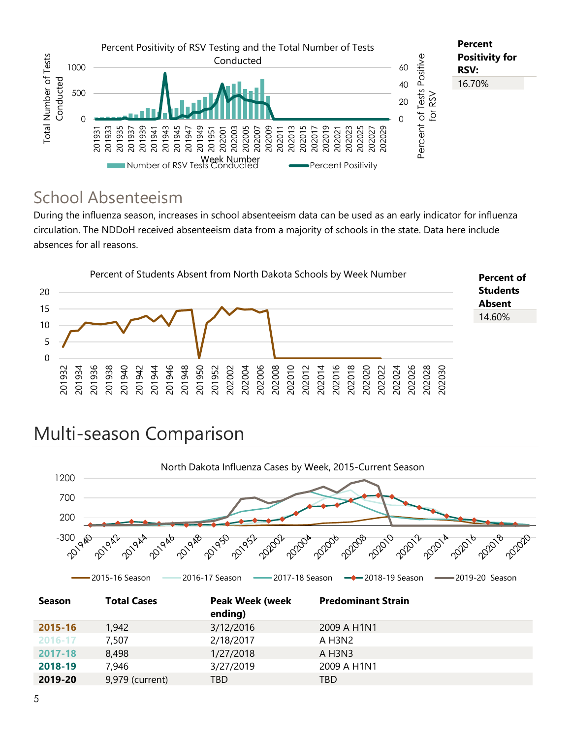

#### School Absenteeism

During the influenza season, increases in school absenteeism data can be used as an early indicator for influenza circulation. The NDDoH received absenteeism data from a majority of schools in the state. Data here include absences for all reasons.



# Multi-season Comparison